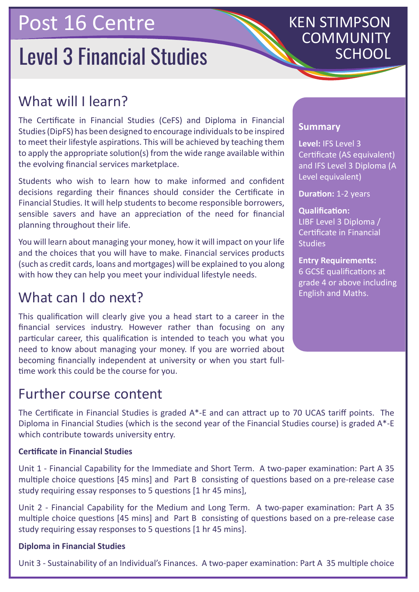## Post 16 Centre

# **Level 3 Financial Studies**

## KEN STIMPSON COMMUNITY

## What will I learn?

The Certificate in Financial Studies (CeFS) and Diploma in Financial Studies (DipFS) has been designed to encourage individuals to be inspired to meet their lifestyle aspirations. This will be achieved by teaching them to apply the appropriate solution(s) from the wide range available within the evolving financial services marketplace.

Students who wish to learn how to make informed and confident decisions regarding their finances should consider the Certificate in Financial Studies. It will help students to become responsible borrowers, sensible savers and have an appreciation of the need for financial planning throughout their life.

You will learn about managing your money, how it will impact on your life and the choices that you will have to make. Financial services products (such as credit cards, loans and mortgages) will be explained to you along with how they can help you meet your individual lifestyle needs.

### What can I do next?

This qualification will clearly give you a head start to a career in the financial services industry. However rather than focusing on any particular career, this qualification is intended to teach you what you need to know about managing your money. If you are worried about becoming financially independent at university or when you start fulltime work this could be the course for you.

### Further course content

The Certificate in Financial Studies is graded A\*-E and can attract up to 70 UCAS tariff points. The Diploma in Financial Studies (which is the second year of the Financial Studies course) is graded A\*-E which contribute towards university entry.

#### **Certificate in Financial Studies**

Unit 1 - Financial Capability for the Immediate and Short Term. A two-paper examination: Part A 35 multiple choice questions [45 mins] and Part B consisting of questions based on a pre-release case study requiring essay responses to 5 questions [1 hr 45 mins],

Unit 2 - Financial Capability for the Medium and Long Term. A two-paper examination: Part A 35 multiple choice questions [45 mins] and Part B consisting of questions based on a pre-release case study requiring essay responses to 5 questions [1 hr 45 mins].

#### **Diploma in Financial Studies**

Unit 3 - Sustainability of an Individual's Finances. A two-paper examination: Part A 35 multiple choice

#### **Summary**

**Level:** IFS Level 3 Certificate (AS equivalent) and IFS Level 3 Diploma (A Level equivalent)

**Duration:** 1-2 years

**Qualification:** LIBF Level 3 Diploma / Certificate in Financial **Studies** 

#### **Entry Requirements:**

6 GCSE qualifications at grade 4 or above including English and Maths.